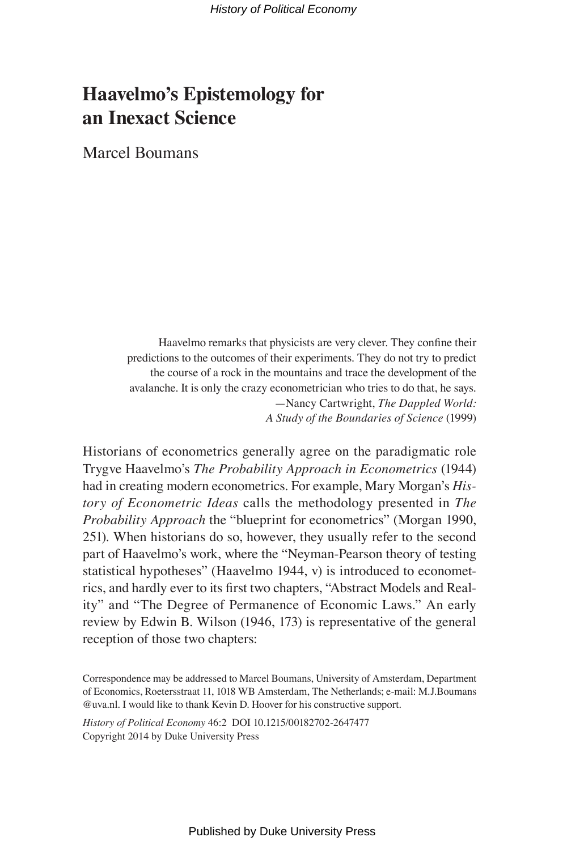Marcel Boumans

Haavelmo remarks that physicists are very clever. They confine their predictions to the outcomes of their experiments. They do not try to predict the course of a rock in the mountains and trace the development of the avalanche. It is only the crazy econometrician who tries to do that, he says. —Nancy Cartwright, *The Dappled World: A Study of the Boundaries of Science* (1999)

Historians of econometrics generally agree on the paradigmatic role Trygve Haavelmo's *The Probability Approach in Econometrics* (1944) had in creating modern econometrics. For example, Mary Morgan's *History of Econometric Ideas* calls the methodology presented in *The Probability Approach* the "blueprint for econometrics" (Morgan 1990, 251). When historians do so, however, they usually refer to the second part of Haavelmo's work, where the "Neyman-Pearson theory of testing statistical hypotheses" (Haavelmo 1944, v) is introduced to econometrics, and hardly ever to its first two chapters, "Abstract Models and Reality" and "The Degree of Permanence of Economic Laws." An early review by Edwin B. Wilson (1946, 173) is representative of the general reception of those two chapters:

Correspondence may be addressed to Marcel Boumans, University of Amsterdam, Department of Economics, Roetersstraat 11, 1018 WB Amsterdam, The Netherlands; e-mail: M.J.Boumans @uva.nl. I would like to thank Kevin D. Hoover for his constructive support.

*History of Political Economy* 46:2 DOI 10.1215/00182702-2647477 Copyright 2014 by Duke University Press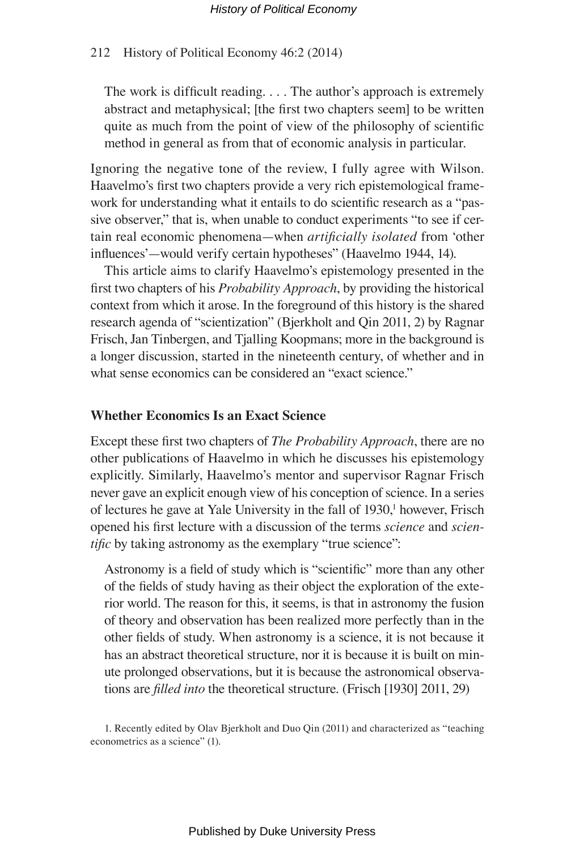The work is difficult reading. . . . The author's approach is extremely abstract and metaphysical; [the first two chapters seem] to be written quite as much from the point of view of the philosophy of scientific method in general as from that of economic analysis in particular.

Ignoring the negative tone of the review, I fully agree with Wilson. Haavelmo's first two chapters provide a very rich epistemological framework for understanding what it entails to do scientific research as a "passive observer," that is, when unable to conduct experiments "to see if certain real economic phenomena—when *artificially isolated* from 'other influences'—would verify certain hypotheses" (Haavelmo 1944, 14).

This article aims to clarify Haavelmo's epistemology presented in the first two chapters of his *Probability Approach*, by providing the historical context from which it arose. In the foreground of this history is the shared research agenda of "scientization" (Bjerkholt and Qin 2011, 2) by Ragnar Frisch, Jan Tinbergen, and Tjalling Koopmans; more in the background is a longer discussion, started in the nineteenth century, of whether and in what sense economics can be considered an "exact science."

# **Whether Economics Is an Exact Science**

Except these first two chapters of *The Probability Approach*, there are no other publications of Haavelmo in which he discusses his epistemology explicitly. Similarly, Haavelmo's mentor and supervisor Ragnar Frisch never gave an explicit enough view of his conception of science. In a series of lectures he gave at Yale University in the fall of 1930,<sup>1</sup> however, Frisch opened his first lecture with a discussion of the terms *science* and *scientific* by taking astronomy as the exemplary "true science":

Astronomy is a field of study which is "scientific" more than any other of the fields of study having as their object the exploration of the exterior world. The reason for this, it seems, is that in astronomy the fusion of theory and observation has been realized more perfectly than in the other fields of study. When astronomy is a science, it is not because it has an abstract theoretical structure, nor it is because it is built on minute prolonged observations, but it is because the astronomical observations are *filled into* the theoretical structure. (Frisch [1930] 2011, 29)

<sup>1.</sup> Recently edited by Olav Bjerkholt and Duo Qin (2011) and characterized as "teaching econometrics as a science" (1).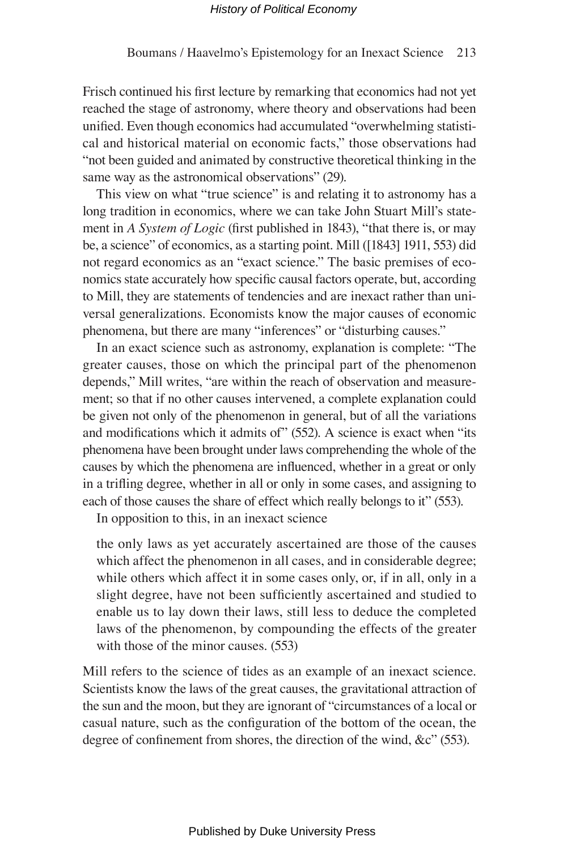Frisch continued his first lecture by remarking that economics had not yet reached the stage of astronomy, where theory and observations had been unified. Even though economics had accumulated "overwhelming statistical and historical material on economic facts," those observations had "not been guided and animated by constructive theoretical thinking in the same way as the astronomical observations" (29).

This view on what "true science" is and relating it to astronomy has a long tradition in economics, where we can take John Stuart Mill's statement in *A System of Logic* (first published in 1843), "that there is, or may be, a science" of economics, as a starting point. Mill ([1843] 1911, 553) did not regard economics as an "exact science." The basic premises of economics state accurately how specific causal factors operate, but, according to Mill, they are statements of tendencies and are inexact rather than universal generalizations. Economists know the major causes of economic phenomena, but there are many "inferences" or "disturbing causes."

In an exact science such as astronomy, explanation is complete: "The greater causes, those on which the principal part of the phenomenon depends," Mill writes, "are within the reach of observation and measurement; so that if no other causes intervened, a complete explanation could be given not only of the phenomenon in general, but of all the variations and modifications which it admits of" (552). A science is exact when "its phenomena have been brought under laws comprehending the whole of the causes by which the phenomena are influenced, whether in a great or only in a trifling degree, whether in all or only in some cases, and assigning to each of those causes the share of effect which really belongs to it" (553).

In opposition to this, in an inexact science

the only laws as yet accurately ascertained are those of the causes which affect the phenomenon in all cases, and in considerable degree; while others which affect it in some cases only, or, if in all, only in a slight degree, have not been sufficiently ascertained and studied to enable us to lay down their laws, still less to deduce the completed laws of the phenomenon, by compounding the effects of the greater with those of the minor causes. (553)

Mill refers to the science of tides as an example of an inexact science. Scientists know the laws of the great causes, the gravitational attraction of the sun and the moon, but they are ignorant of "circumstances of a local or casual nature, such as the configuration of the bottom of the ocean, the degree of confinement from shores, the direction of the wind, &c" (553).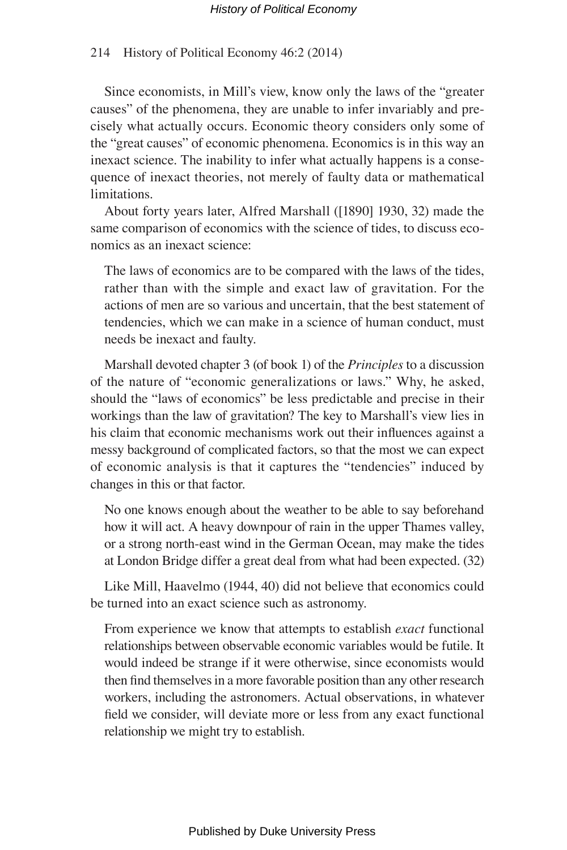Since economists, in Mill's view, know only the laws of the "greater causes" of the phenomena, they are unable to infer invariably and precisely what actually occurs. Economic theory considers only some of the "great causes" of economic phenomena. Economics is in this way an inexact science. The inability to infer what actually happens is a consequence of inexact theories, not merely of faulty data or mathematical limitations.

About forty years later, Alfred Marshall ([1890] 1930, 32) made the same comparison of economics with the science of tides, to discuss economics as an inexact science:

The laws of economics are to be compared with the laws of the tides, rather than with the simple and exact law of gravitation. For the actions of men are so various and uncertain, that the best statement of tendencies, which we can make in a science of human conduct, must needs be inexact and faulty.

Marshall devoted chapter 3 (of book 1) of the *Principles* to a discussion of the nature of "economic generalizations or laws." Why, he asked, should the "laws of economics" be less predictable and precise in their workings than the law of gravitation? The key to Marshall's view lies in his claim that economic mechanisms work out their influences against a messy background of complicated factors, so that the most we can expect of economic analysis is that it captures the "tendencies" induced by changes in this or that factor.

No one knows enough about the weather to be able to say beforehand how it will act. A heavy downpour of rain in the upper Thames valley, or a strong north-east wind in the German Ocean, may make the tides at London Bridge differ a great deal from what had been expected. (32)

Like Mill, Haavelmo (1944, 40) did not believe that economics could be turned into an exact science such as astronomy.

From experience we know that attempts to establish *exact* functional relationships between observable economic variables would be futile. It would indeed be strange if it were otherwise, since economists would then find themselves in a more favorable position than any other research workers, including the astronomers. Actual observations, in whatever field we consider, will deviate more or less from any exact functional relationship we might try to establish.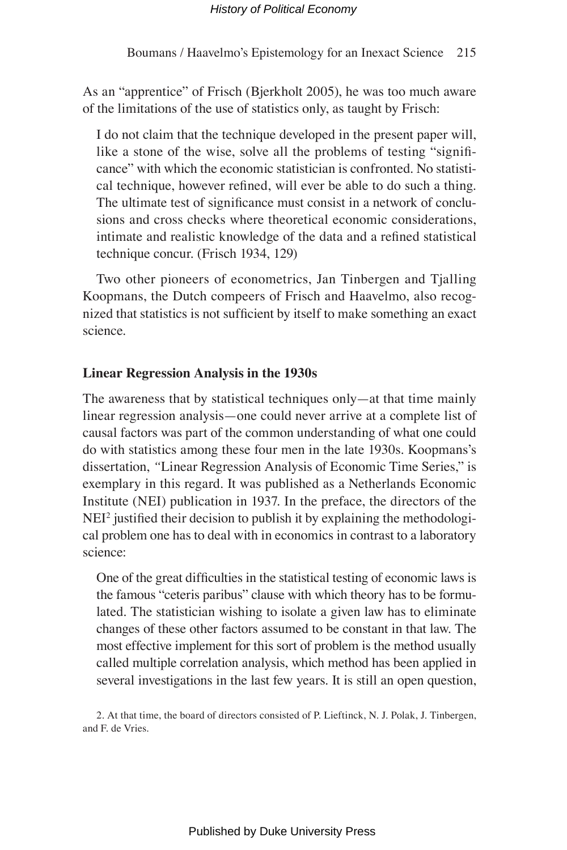As an "apprentice" of Frisch (Bjerkholt 2005), he was too much aware of the limitations of the use of statistics only, as taught by Frisch:

I do not claim that the technique developed in the present paper will, like a stone of the wise, solve all the problems of testing "significance" with which the economic statistician is confronted. No statistical technique, however refined, will ever be able to do such a thing. The ultimate test of significance must consist in a network of conclusions and cross checks where theoretical economic considerations, intimate and realistic knowledge of the data and a refined statistical technique concur. (Frisch 1934, 129)

Two other pioneers of econometrics, Jan Tinbergen and Tjalling Koopmans, the Dutch compeers of Frisch and Haavelmo, also recognized that statistics is not sufficient by itself to make something an exact science.

# **Linear Regression Analysis in the 1930s**

The awareness that by statistical techniques only—at that time mainly linear regression analysis—one could never arrive at a complete list of causal factors was part of the common understanding of what one could do with statistics among these four men in the late 1930s. Koopmans's dissertation, *"*Linear Regression Analysis of Economic Time Series," is exemplary in this regard. It was published as a Netherlands Economic Institute (NEI) publication in 1937. In the preface, the directors of the NEI2 justified their decision to publish it by explaining the methodological problem one has to deal with in economics in contrast to a laboratory science:

One of the great difficulties in the statistical testing of economic laws is the famous "ceteris paribus" clause with which theory has to be formulated. The statistician wishing to isolate a given law has to eliminate changes of these other factors assumed to be constant in that law. The most effective implement for this sort of problem is the method usually called multiple correlation analysis, which method has been applied in several investigations in the last few years. It is still an open question,

2. At that time, the board of directors consisted of P. Lieftinck, N. J. Polak, J. Tinbergen, and F. de Vries.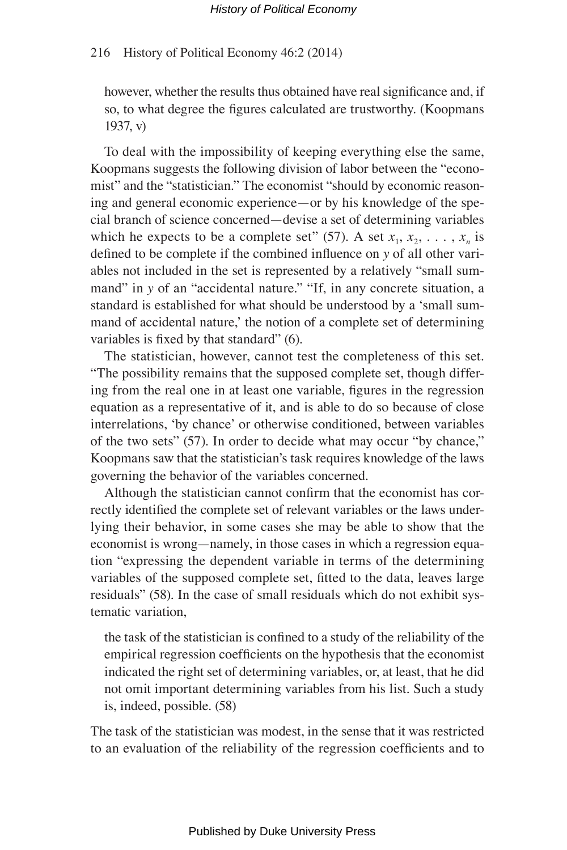however, whether the results thus obtained have real significance and, if so, to what degree the figures calculated are trustworthy. (Koopmans 1937, v)

To deal with the impossibility of keeping everything else the same, Koopmans suggests the following division of labor between the "economist" and the "statistician." The economist "should by economic reasoning and general economic experience—or by his knowledge of the special branch of science concerned—devise a set of determining variables which he expects to be a complete set" (57). A set  $x_1, x_2, \ldots, x_n$  is defined to be complete if the combined influence on *y* of all other variables not included in the set is represented by a relatively "small summand" in *y* of an "accidental nature." "If, in any concrete situation, a standard is established for what should be understood by a 'small summand of accidental nature,' the notion of a complete set of determining variables is fixed by that standard" (6).

The statistician, however, cannot test the completeness of this set. "The possibility remains that the supposed complete set, though differing from the real one in at least one variable, figures in the regression equation as a representative of it, and is able to do so because of close interrelations, 'by chance' or otherwise conditioned, between variables of the two sets" (57). In order to decide what may occur "by chance," Koopmans saw that the statistician's task requires knowledge of the laws governing the behavior of the variables concerned.

Although the statistician cannot confirm that the economist has correctly identified the complete set of relevant variables or the laws underlying their behavior, in some cases she may be able to show that the economist is wrong—namely, in those cases in which a regression equation "expressing the dependent variable in terms of the determining variables of the supposed complete set, fitted to the data, leaves large residuals" (58). In the case of small residuals which do not exhibit systematic variation,

the task of the statistician is confined to a study of the reliability of the empirical regression coefficients on the hypothesis that the economist indicated the right set of determining variables, or, at least, that he did not omit important determining variables from his list. Such a study is, indeed, possible. (58)

The task of the statistician was modest, in the sense that it was restricted to an evaluation of the reliability of the regression coefficients and to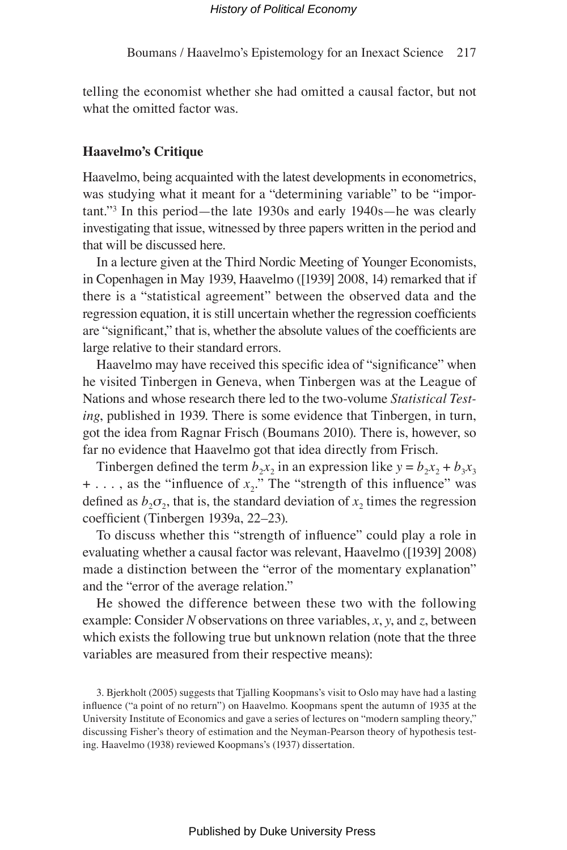telling the economist whether she had omitted a causal factor, but not what the omitted factor was.

#### **Haavelmo's Critique**

Haavelmo, being acquainted with the latest developments in econometrics, was studying what it meant for a "determining variable" to be "important."3 In this period—the late 1930s and early 1940s—he was clearly investigating that issue, witnessed by three papers written in the period and that will be discussed here.

In a lecture given at the Third Nordic Meeting of Younger Economists, in Copenhagen in May 1939, Haavelmo ([1939] 2008, 14) remarked that if there is a "statistical agreement" between the observed data and the regression equation, it is still uncertain whether the regression coefficients are "significant," that is, whether the absolute values of the coefficients are large relative to their standard errors.

Haavelmo may have received this specific idea of "significance" when he visited Tinbergen in Geneva, when Tinbergen was at the League of Nations and whose research there led to the two-volume *Statistical Testing*, published in 1939. There is some evidence that Tinbergen, in turn, got the idea from Ragnar Frisch (Boumans 2010). There is, however, so far no evidence that Haavelmo got that idea directly from Frisch.

Tinbergen defined the term  $b_2x_2$  in an expression like  $y = b_2x_2 + b_3x_3$  $+ \ldots$ , as the "influence of  $x_2$ ." The "strength of this influence" was defined as  $b_2\sigma_2$ , that is, the standard deviation of  $x_2$  times the regression coefficient (Tinbergen 1939a, 22–23).

To discuss whether this "strength of influence" could play a role in evaluating whether a causal factor was relevant, Haavelmo ([1939] 2008) made a distinction between the "error of the momentary explanation" and the "error of the average relation."

He showed the difference between these two with the following example: Consider *N* observations on three variables, *x*, *y*, and *z*, between which exists the following true but unknown relation (note that the three variables are measured from their respective means):

3. Bjerkholt (2005) suggests that Tjalling Koopmans's visit to Oslo may have had a lasting influence ("a point of no return") on Haavelmo. Koopmans spent the autumn of 1935 at the University Institute of Economics and gave a series of lectures on "modern sampling theory," discussing Fisher's theory of estimation and the Neyman-Pearson theory of hypothesis testing. Haavelmo (1938) reviewed Koopmans's (1937) dissertation.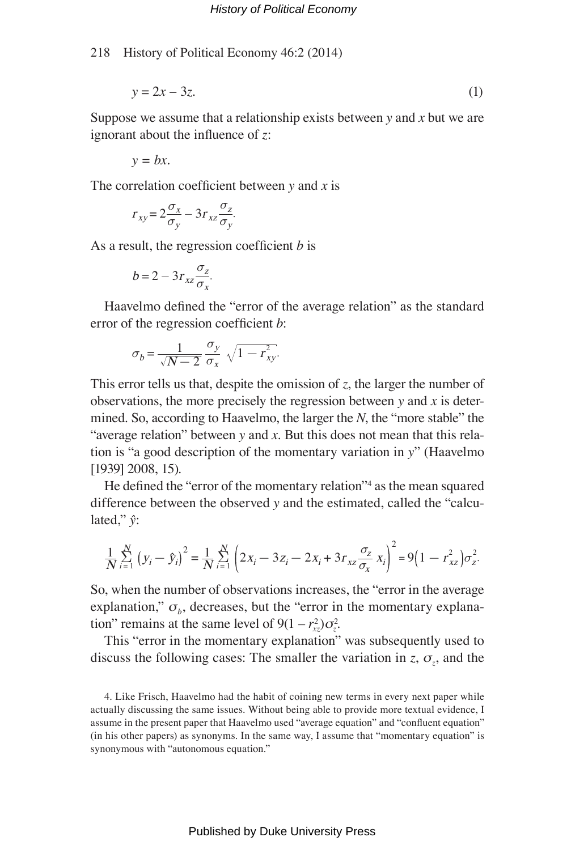$$
y = 2x - 3z.\tag{1}
$$

Suppose we assume that a relationship exists between *y* and *x* but we are ignorant about the influence of *z*:

 $y = bx$ .

The correlation coefficient between *y* and *x* is

$$
r_{xy} = 2\frac{\sigma_x}{\sigma_y} - 3r_{xz}\frac{\sigma_z}{\sigma_y}.
$$

As a result, the regression coefficient *b* is

$$
b=2-3r_{xz}\frac{\sigma_z}{\sigma_x}.
$$

Haavelmo defined the "error of the average relation" as the standard error of the regression coefficient *b*:

$$
\sigma_b = \frac{1}{\sqrt{N-2}} \, \frac{\sigma_y}{\sigma_x} \, \sqrt{1-r_{xy}^2}.
$$

This error tells us that, despite the omission of *z*, the larger the number of observations, the more precisely the regression between *y* and *x* is determined. So, according to Haavelmo, the larger the *N*, the "more stable" the "average relation" between *y* and *x*. But this does not mean that this relation is "a good description of the momentary variation in *y*" (Haavelmo [1939] 2008, 15).

He defined the "error of the momentary relation"<sup>4</sup> as the mean squared difference between the observed *y* and the estimated, called the "calculated," *yˆ*:

$$
\frac{1}{N} \sum_{i=1}^{N} (y_i - \hat{y}_i)^2 = \frac{1}{N} \sum_{i=1}^{N} \left( 2x_i - 3z_i - 2x_i + 3r_{xz} \frac{\sigma_z}{\sigma_x} x_i \right)^2 = 9(1 - r_{xz}^2) \sigma_z^2.
$$

So, when the number of observations increases, the "error in the average explanation,"  $\sigma_b$ , decreases, but the "error in the momentary explanation" remains at the same level of  $9(1 - r_{xz}^2)\sigma_z^2$ .

This "error in the momentary explanation" was subsequently used to discuss the following cases: The smaller the variation in  $z$ ,  $\sigma_z$ , and the

<sup>4.</sup> Like Frisch, Haavelmo had the habit of coining new terms in every next paper while actually discussing the same issues. Without being able to provide more textual evidence, I assume in the present paper that Haavelmo used "average equation" and "confluent equation" (in his other papers) as synonyms. In the same way, I assume that "momentary equation" is synonymous with "autonomous equation."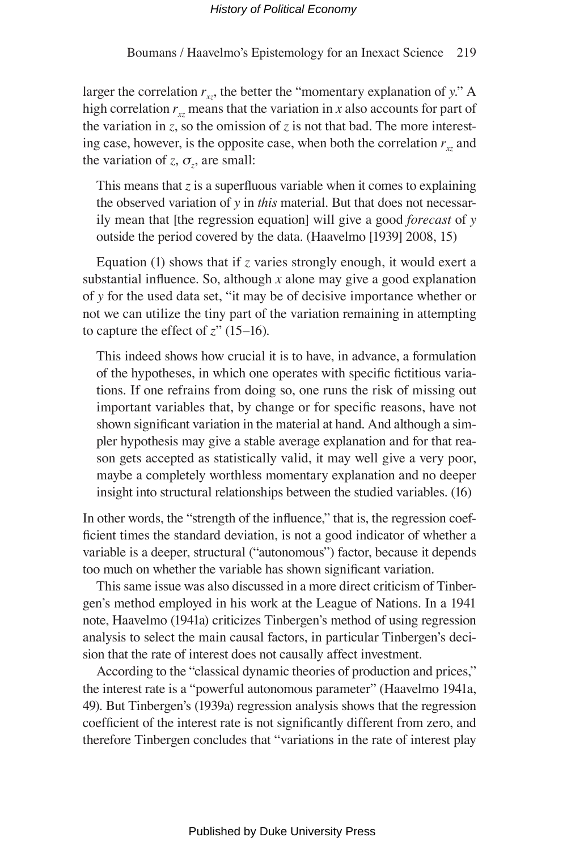larger the correlation  $r_{\nu z}$ , the better the "momentary explanation of y." A high correlation  $r_{xx}$  means that the variation in x also accounts for part of the variation in  $z$ , so the omission of  $z$  is not that bad. The more interesting case, however, is the opposite case, when both the correlation  $r<sub>x</sub>$  and the variation of *z*,  $\sigma_z$ , are small:

This means that  $\zeta$  is a superfluous variable when it comes to explaining the observed variation of *y* in *this* material. But that does not necessarily mean that [the regression equation] will give a good *forecast* of *y*  outside the period covered by the data. (Haavelmo [1939] 2008, 15)

Equation (1) shows that if *z* varies strongly enough, it would exert a substantial influence. So, although *x* alone may give a good explanation of *y* for the used data set, "it may be of decisive importance whether or not we can utilize the tiny part of the variation remaining in attempting to capture the effect of  $z$ " (15–16).

This indeed shows how crucial it is to have, in advance, a formulation of the hypotheses, in which one operates with specific fictitious variations. If one refrains from doing so, one runs the risk of missing out important variables that, by change or for specific reasons, have not shown significant variation in the material at hand. And although a simpler hypothesis may give a stable average explanation and for that reason gets accepted as statistically valid, it may well give a very poor, maybe a completely worthless momentary explanation and no deeper insight into structural relationships between the studied variables. (16)

In other words, the "strength of the influence," that is, the regression coefficient times the standard deviation, is not a good indicator of whether a variable is a deeper, structural ("autonomous") factor, because it depends too much on whether the variable has shown significant variation.

This same issue was also discussed in a more direct criticism of Tinbergen's method employed in his work at the League of Nations. In a 1941 note, Haavelmo (1941a) criticizes Tinbergen's method of using regression analysis to select the main causal factors, in particular Tinbergen's decision that the rate of interest does not causally affect investment.

According to the "classical dynamic theories of production and prices," the interest rate is a "powerful autonomous parameter" (Haavelmo 1941a, 49). But Tinbergen's (1939a) regression analysis shows that the regression coefficient of the interest rate is not significantly different from zero, and therefore Tinbergen concludes that "variations in the rate of interest play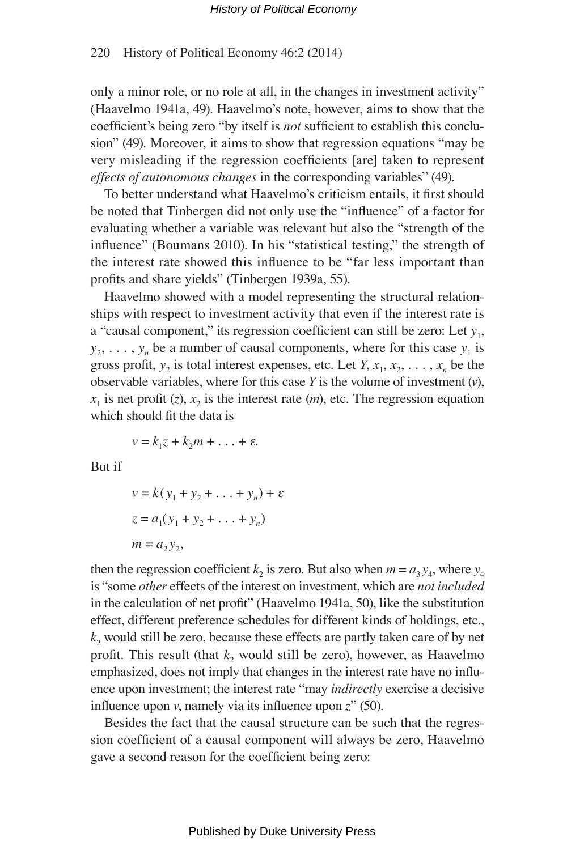only a minor role, or no role at all, in the changes in investment activity" (Haavelmo 1941a, 49). Haavelmo's note, however, aims to show that the coefficient's being zero "by itself is *not* sufficient to establish this conclusion" (49). Moreover, it aims to show that regression equations "may be very misleading if the regression coefficients [are] taken to represent *effects of autonomous changes* in the corresponding variables" (49).

To better understand what Haavelmo's criticism entails, it first should be noted that Tinbergen did not only use the "influence" of a factor for evaluating whether a variable was relevant but also the "strength of the influence" (Boumans 2010). In his "statistical testing," the strength of the interest rate showed this influence to be "far less important than profits and share yields" (Tinbergen 1939a, 55).

Haavelmo showed with a model representing the structural relationships with respect to investment activity that even if the interest rate is a "causal component," its regression coefficient can still be zero: Let  $y_1$ ,  $y_2, \ldots, y_n$  be a number of causal components, where for this case  $y_1$  is gross profit,  $y_2$  is total interest expenses, etc. Let *Y*,  $x_1, x_2, \ldots, x_n$  be the observable variables, where for this case *Y* is the volume of investment (*v*),  $x_1$  is net profit (*z*),  $x_2$  is the interest rate (*m*), etc. The regression equation which should fit the data is

$$
v = k_1 z + k_2 m + \ldots + \varepsilon.
$$

But if

$$
v = k(y_1 + y_2 + \dots + y_n) + \varepsilon
$$
  
\n
$$
z = a_1(y_1 + y_2 + \dots + y_n)
$$
  
\n
$$
m = a_2 y_2,
$$

then the regression coefficient  $k_2$  is zero. But also when  $m = a_3 y_4$ , where  $y_4$ is "some *other* effects of the interest on investment, which are *not included* in the calculation of net profit" (Haavelmo 1941a, 50), like the substitution effect, different preference schedules for different kinds of holdings, etc.,  $k<sub>2</sub>$  would still be zero, because these effects are partly taken care of by net profit. This result (that  $k<sub>2</sub>$  would still be zero), however, as Haavelmo emphasized, does not imply that changes in the interest rate have no influence upon investment; the interest rate "may *indirectly* exercise a decisive influence upon *v*, namely via its influence upon *z*" (50).

Besides the fact that the causal structure can be such that the regression coefficient of a causal component will always be zero, Haavelmo gave a second reason for the coefficient being zero: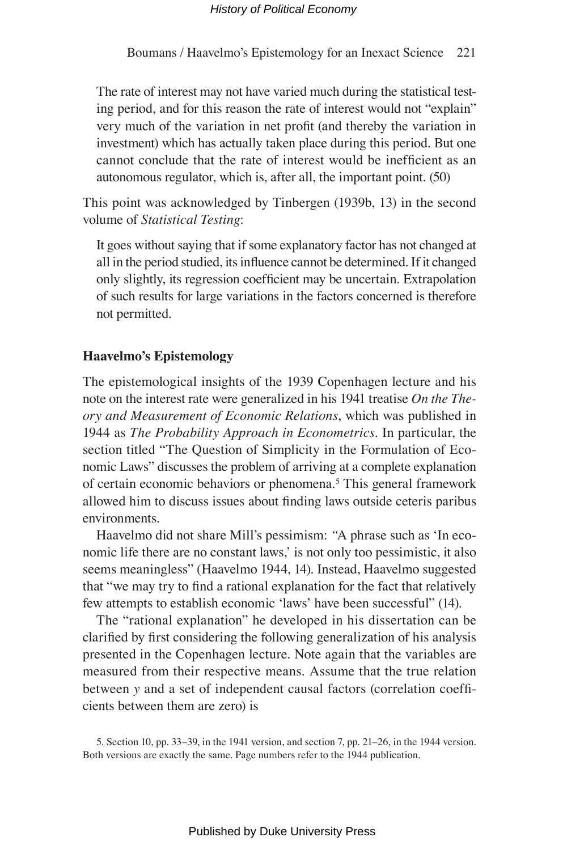The rate of interest may not have varied much during the statistical testing period, and for this reason the rate of interest would not "explain" very much of the variation in net profit (and thereby the variation in investment) which has actually taken place during this period. But one cannot conclude that the rate of interest would be inefficient as an autonomous regulator, which is, after all, the important point. (50)

This point was acknowledged by Tinbergen (1939b, 13) in the second volume of *Statistical Testing*:

It goes without saying that if some explanatory factor has not changed at all in the period studied, its influence cannot be determined. If it changed only slightly, its regression coefficient may be uncertain. Extrapolation of such results for large variations in the factors concerned is therefore not permitted.

# **Haavelmo's Epistemology**

The epistemological insights of the 1939 Copenhagen lecture and his note on the interest rate were generalized in his 1941 treatise *On the Theory and Measurement of Economic Relations*, which was published in 1944 as *The Probability Approach in Econometrics*. In particular, the section titled "The Question of Simplicity in the Formulation of Economic Laws" discusses the problem of arriving at a complete explanation of certain economic behaviors or phenomena.5 This general framework allowed him to discuss issues about finding laws outside ceteris paribus environments.

Haavelmo did not share Mill's pessimism: *"*A phrase such as 'In economic life there are no constant laws,' is not only too pessimistic, it also seems meaningless" (Haavelmo 1944, 14). Instead, Haavelmo suggested that "we may try to find a rational explanation for the fact that relatively few attempts to establish economic 'laws' have been successful" (14).

The "rational explanation" he developed in his dissertation can be clarified by first considering the following generalization of his analysis presented in the Copenhagen lecture. Note again that the variables are measured from their respective means. Assume that the true relation between *y* and a set of independent causal factors (correlation coefficients between them are zero) is

<sup>5.</sup> Section 10, pp. 33–39, in the 1941 version, and section 7, pp. 21–26, in the 1944 version. Both versions are exactly the same. Page numbers refer to the 1944 publication.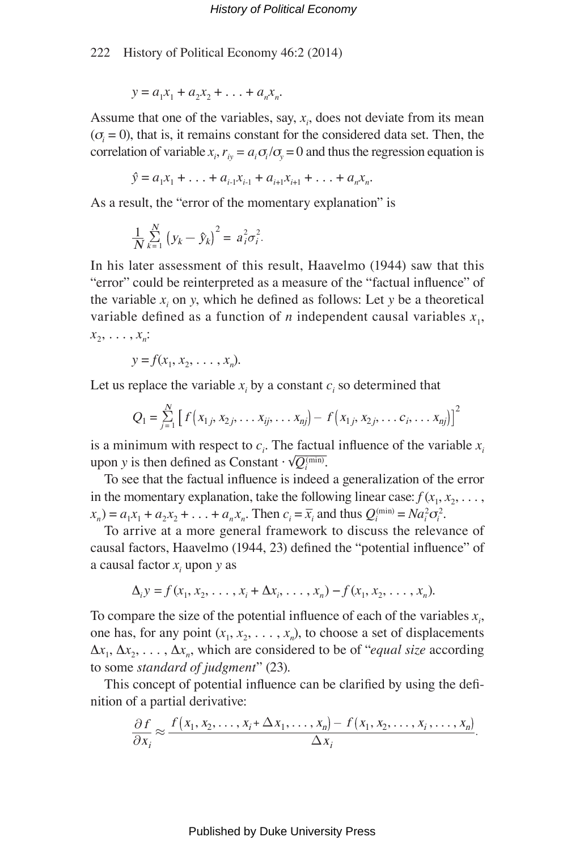$y = a_1x_1 + a_2x_2 + \ldots + a_nx_n$ .

Assume that one of the variables, say,  $x_i$ , does not deviate from its mean  $(\sigma_i = 0)$ , that is, it remains constant for the considered data set. Then, the correlation of variable  $x_i$ ,  $r_{iy} = a_i \sigma_i / \sigma_y = 0$  and thus the regression equation is

$$
\hat{y} = a_1 x_1 + \ldots + a_{i-1} x_{i-1} + a_{i+1} x_{i+1} + \ldots + a_n x_n.
$$

As a result, the "error of the momentary explanation" is

$$
\frac{1}{N}\sum_{k=1}^{N} (y_k - \hat{y}_k)^2 = a_i^2 \sigma_i^2.
$$

In his later assessment of this result, Haavelmo (1944) saw that this "error" could be reinterpreted as a measure of the "factual influence" of the variable  $x_i$  on *y*, which he defined as follows: Let *y* be a theoretical variable defined as a function of *n* independent causal variables  $x_1$ ,  $x_2, \ldots, x_n$ :

 $y = f(x_1, x_2, \ldots, x_n).$ 

Let us replace the variable  $x_i$  by a constant  $c_i$  so determined that

$$
Q_1 = \sum_{j=1}^{N} \left[ f(x_{1j}, x_{2j}, \dots x_{ij}, \dots x_{nj}) - f(x_{1j}, x_{2j}, \dots c_j, \dots x_{nj}) \right]^2
$$

is a minimum with respect to  $c_i$ . The factual influence of the variable  $x_i$ upon *y* is then defined as Constant  $\cdot \sqrt{Q_i^{(\min)}}$ .

To see that the factual influence is indeed a generalization of the error in the momentary explanation, take the following linear case:  $f(x_1, x_2, \ldots, x_n)$  $x_n$ ) =  $a_1x_1 + a_2x_2 + ... + a_nx_n$ . Then  $c_i = \overline{x}_i$  and thus  $Q_i^{(min)} = Na_i^2\sigma_i^2$ .

To arrive at a more general framework to discuss the relevance of causal factors, Haavelmo (1944, 23) defined the "potential influence" of a causal factor *xi* upon *y* as

$$
\Delta_i y = f(x_1, x_2, \dots, x_i + \Delta x_i, \dots, x_n) - f(x_1, x_2, \dots, x_n).
$$

To compare the size of the potential influence of each of the variables  $x_i$ , one has, for any point  $(x_1, x_2, \ldots, x_n)$ , to choose a set of displacements  $\Delta x_1, \Delta x_2, \ldots, \Delta x_n$ , which are considered to be of "*equal size* according to some *standard of judgment*" (23).

This concept of potential influence can be clarified by using the definition of a partial derivative:

$$
\frac{\partial f}{\partial x_i} \approx \frac{f(x_1, x_2, \dots, x_i + \Delta x_1, \dots, x_n) - f(x_1, x_2, \dots, x_i, \dots, x_n)}{\Delta x_i}.
$$

#### Published by Duke University Press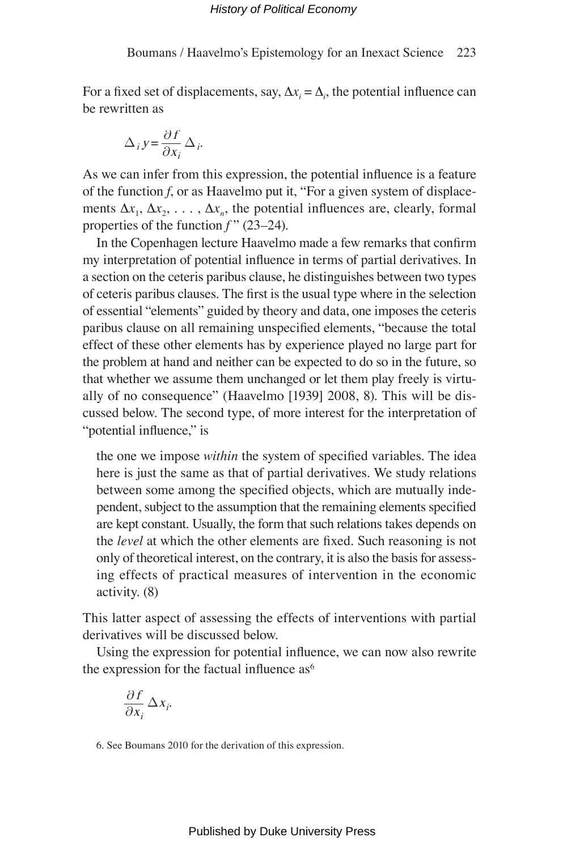For a fixed set of displacements, say,  $\Delta x_i = \Delta_i$ , the potential influence can be rewritten as

$$
\Delta_i y = \frac{\partial f}{\partial x_i} \Delta_i.
$$

As we can infer from this expression, the potential influence is a feature of the function *f*, or as Haavelmo put it, "For a given system of displacements  $\Delta x_1, \Delta x_2, \ldots, \Delta x_n$ , the potential influences are, clearly, formal properties of the function *f* " (23–24).

In the Copenhagen lecture Haavelmo made a few remarks that confirm my interpretation of potential influence in terms of partial derivatives. In a section on the ceteris paribus clause, he distinguishes between two types of ceteris paribus clauses. The first is the usual type where in the selection of essential "elements" guided by theory and data, one imposes the ceteris paribus clause on all remaining unspecified elements, "because the total effect of these other elements has by experience played no large part for the problem at hand and neither can be expected to do so in the future, so that whether we assume them unchanged or let them play freely is virtually of no consequence" (Haavelmo [1939] 2008, 8). This will be discussed below. The second type, of more interest for the interpretation of "potential influence," is

the one we impose *within* the system of specified variables. The idea here is just the same as that of partial derivatives. We study relations between some among the specified objects, which are mutually independent, subject to the assumption that the remaining elements specified are kept constant. Usually, the form that such relations takes depends on the *level* at which the other elements are fixed. Such reasoning is not only of theoretical interest, on the contrary, it is also the basis for assessing effects of practical measures of intervention in the economic activity. (8)

This latter aspect of assessing the effects of interventions with partial derivatives will be discussed below.

Using the expression for potential influence, we can now also rewrite the expression for the factual influence  $as<sup>6</sup>$ 

$$
\frac{\partial f}{\partial x_i} \Delta x_i.
$$

6. See Boumans 2010 for the derivation of this expression.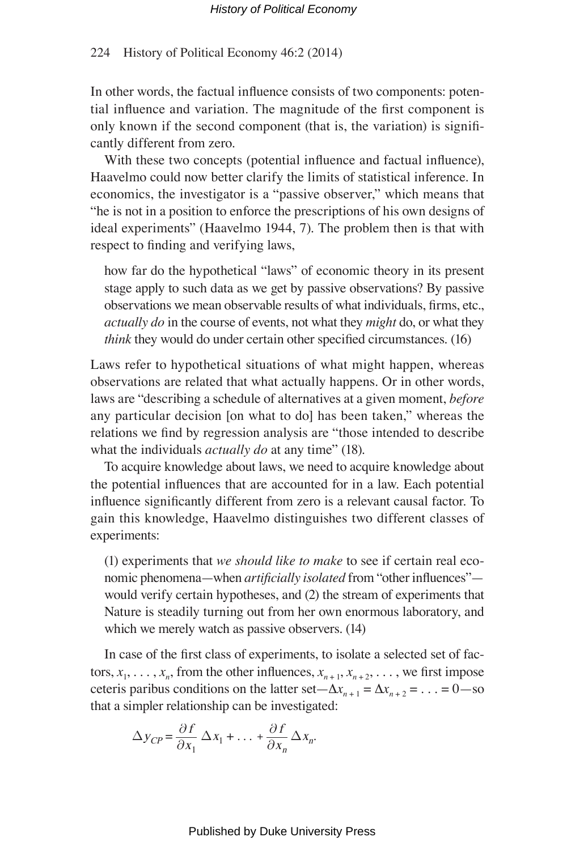In other words, the factual influence consists of two components: potential influence and variation. The magnitude of the first component is only known if the second component (that is, the variation) is significantly different from zero.

With these two concepts (potential influence and factual influence), Haavelmo could now better clarify the limits of statistical inference. In economics, the investigator is a "passive observer," which means that "he is not in a position to enforce the prescriptions of his own designs of ideal experiments" (Haavelmo 1944, 7). The problem then is that with respect to finding and verifying laws,

how far do the hypothetical "laws" of economic theory in its present stage apply to such data as we get by passive observations? By passive observations we mean observable results of what individuals, firms, etc., *actually do* in the course of events, not what they *might* do, or what they *think* they would do under certain other specified circumstances. (16)

Laws refer to hypothetical situations of what might happen, whereas observations are related that what actually happens. Or in other words, laws are "describing a schedule of alternatives at a given moment, *before* any particular decision [on what to do] has been taken," whereas the relations we find by regression analysis are "those intended to describe what the individuals *actually do* at any time" (18).

To acquire knowledge about laws, we need to acquire knowledge about the potential influences that are accounted for in a law. Each potential influence significantly different from zero is a relevant causal factor. To gain this knowledge, Haavelmo distinguishes two different classes of experiments:

(1) experiments that *we should like to make* to see if certain real economic phenomena—when *artificially isolated* from "other influences" would verify certain hypotheses, and (2) the stream of experiments that Nature is steadily turning out from her own enormous laboratory, and which we merely watch as passive observers. (14)

In case of the first class of experiments, to isolate a selected set of factors,  $x_1, \ldots, x_n$ , from the other influences,  $x_{n+1}, x_{n+2}, \ldots$ , we first impose ceteris paribus conditions on the latter set— $\Delta x_{n+1} = \Delta x_{n+2} = ... = 0$ —so that a simpler relationship can be investigated:

$$
\Delta y_{CP} = \frac{\partial f}{\partial x_1} \Delta x_1 + \dots + \frac{\partial f}{\partial x_n} \Delta x_n.
$$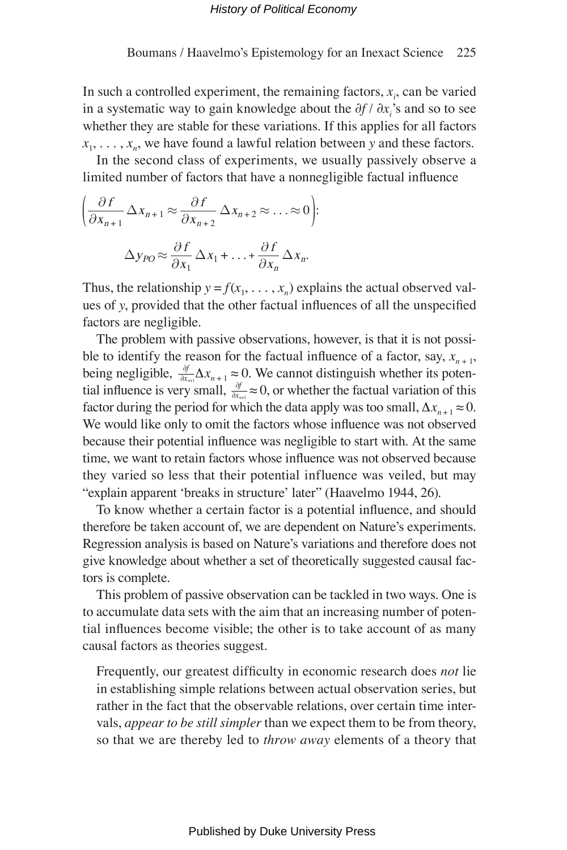In such a controlled experiment, the remaining factors,  $x_i$ , can be varied in a systematic way to gain knowledge about the ∂*f* / ∂*xi* 's and so to see whether they are stable for these variations. If this applies for all factors  $x_1, \ldots, x_n$ , we have found a lawful relation between *y* and these factors.

In the second class of experiments, we usually passively observe a limited number of factors that have a nonnegligible factual influence

$$
\left(\frac{\partial f}{\partial x_{n+1}} \Delta x_{n+1} \approx \frac{\partial f}{\partial x_{n+2}} \Delta x_{n+2} \approx \dots \approx 0\right):
$$

$$
\Delta y_{PO} \approx \frac{\partial f}{\partial x_1} \Delta x_1 + \dots + \frac{\partial f}{\partial x_n} \Delta x_n.
$$

Thus, the relationship  $y = f(x_1, \ldots, x_n)$  explains the actual observed values of *y*, provided that the other factual influences of all the unspecified factors are negligible.

The problem with passive observations, however, is that it is not possible to identify the reason for the factual influence of a factor, say,  $x_{n+1}$ , being negligible,  $\frac{\partial f}{\partial x_{n+1}} \Delta x_{n+1} \approx 0$ . We cannot distinguish whether its potential influence is very small,  $\frac{\partial f}{\partial x_{\text{ref}}} \approx 0$ , or whether the factual variation of this factor during the period for which the data apply was too small,  $\Delta x_{n+1} \approx 0$ . We would like only to omit the factors whose influence was not observed because their potential influence was negligible to start with. At the same time, we want to retain factors whose influence was not observed because they varied so less that their potential influence was veiled, but may "explain apparent 'breaks in structure' later" (Haavelmo 1944, 26).

To know whether a certain factor is a potential influence, and should therefore be taken account of, we are dependent on Nature's experiments. Regression analysis is based on Nature's variations and therefore does not give knowledge about whether a set of theoretically suggested causal factors is complete.

This problem of passive observation can be tackled in two ways. One is to accumulate data sets with the aim that an increasing number of potential influences become visible; the other is to take account of as many causal factors as theories suggest.

Frequently, our greatest difficulty in economic research does *not* lie in establishing simple relations between actual observation series, but rather in the fact that the observable relations, over certain time intervals, *appear to be still simpler* than we expect them to be from theory, so that we are thereby led to *throw away* elements of a theory that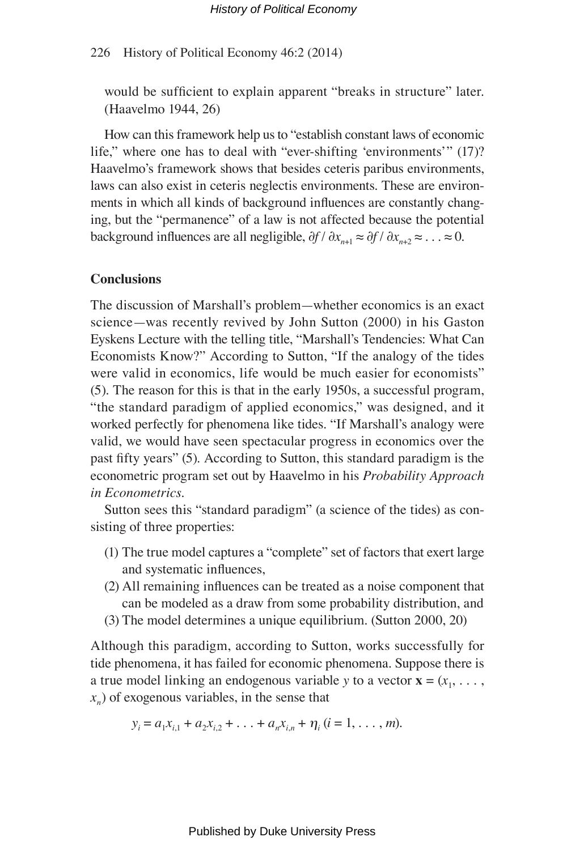would be sufficient to explain apparent "breaks in structure" later. (Haavelmo 1944, 26)

How can this framework help us to "establish constant laws of economic life," where one has to deal with "ever-shifting 'environments'" (17)? Haavelmo's framework shows that besides ceteris paribus environments, laws can also exist in ceteris neglectis environments. These are environments in which all kinds of background influences are constantly changing, but the "permanence" of a law is not affected because the potential background influences are all negligible,  $\partial f / \partial x_{n+1} \approx \partial f / \partial x_{n+2} \approx \ldots \approx 0$ .

# **Conclusions**

The discussion of Marshall's problem—whether economics is an exact science—was recently revived by John Sutton (2000) in his Gaston Eyskens Lecture with the telling title, "Marshall's Tendencies: What Can Economists Know?" According to Sutton, "If the analogy of the tides were valid in economics, life would be much easier for economists" (5). The reason for this is that in the early 1950s, a successful program, "the standard paradigm of applied economics," was designed, and it worked perfectly for phenomena like tides. "If Marshall's analogy were valid, we would have seen spectacular progress in economics over the past fifty years" (5). According to Sutton, this standard paradigm is the econometric program set out by Haavelmo in his *Probability Approach in Econometrics*.

Sutton sees this "standard paradigm" (a science of the tides) as consisting of three properties:

- (1) The true model captures a "complete" set of factors that exert large and systematic influences,
- (2) All remaining influences can be treated as a noise component that can be modeled as a draw from some probability distribution, and
- (3) The model determines a unique equilibrium. (Sutton 2000, 20)

Although this paradigm, according to Sutton, works successfully for tide phenomena, it has failed for economic phenomena. Suppose there is a true model linking an endogenous variable *y* to a vector  $\mathbf{x} = (x_1, \dots, x_n)$  $x_n$ ) of exogenous variables, in the sense that

$$
y_i = a_1 x_{i,1} + a_2 x_{i,2} + \ldots + a_n x_{i,n} + \eta_i (i = 1, \ldots, m).
$$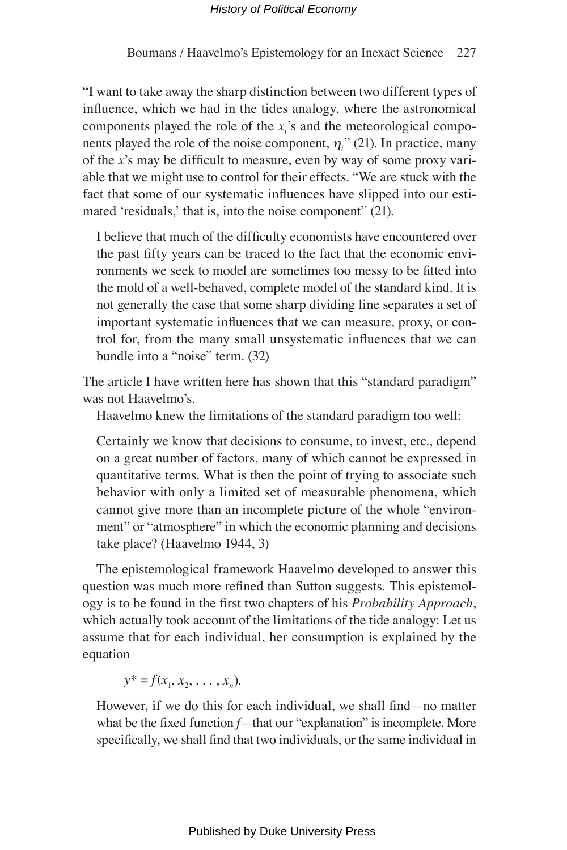"I want to take away the sharp distinction between two different types of influence, which we had in the tides analogy, where the astronomical components played the role of the  $x_i$ 's and the meteorological components played the role of the noise component,  $\eta_i$ <sup>"</sup> (21). In practice, many of the *x*'s may be difficult to measure, even by way of some proxy variable that we might use to control for their effects. "We are stuck with the fact that some of our systematic influences have slipped into our estimated 'residuals,' that is, into the noise component" (21).

I believe that much of the difficulty economists have encountered over the past fifty years can be traced to the fact that the economic environments we seek to model are sometimes too messy to be fitted into the mold of a well-behaved, complete model of the standard kind. It is not generally the case that some sharp dividing line separates a set of important systematic influences that we can measure, proxy, or control for, from the many small unsystematic influences that we can bundle into a "noise" term. (32)

The article I have written here has shown that this "standard paradigm" was not Haavelmo's.

Haavelmo knew the limitations of the standard paradigm too well:

Certainly we know that decisions to consume, to invest, etc., depend on a great number of factors, many of which cannot be expressed in quantitative terms. What is then the point of trying to associate such behavior with only a limited set of measurable phenomena, which cannot give more than an incomplete picture of the whole "environment" or "atmosphere" in which the economic planning and decisions take place? (Haavelmo 1944, 3)

The epistemological framework Haavelmo developed to answer this question was much more refined than Sutton suggests. This epistemology is to be found in the first two chapters of his *Probability Approach*, which actually took account of the limitations of the tide analogy: Let us assume that for each individual, her consumption is explained by the equation

 $y^* = f(x_1, x_2, \ldots, x_n).$ 

However, if we do this for each individual, we shall find—no matter what be the fixed function *f*—that our "explanation" is incomplete. More specifically, we shall find that two individuals, or the same individual in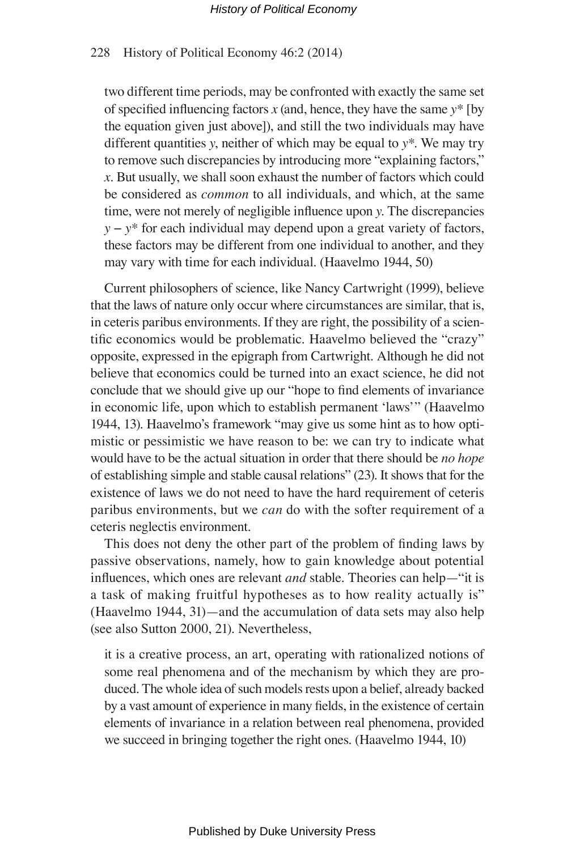two different time periods, may be confronted with exactly the same set of specified influencing factors *x* (and, hence, they have the same *y\** [by the equation given just above]), and still the two individuals may have different quantities *y*, neither of which may be equal to *y\**. We may try to remove such discrepancies by introducing more "explaining factors," *x*. But usually, we shall soon exhaust the number of factors which could be considered as *common* to all individuals, and which, at the same time, were not merely of negligible influence upon *y*. The discrepancies *y* − *y*<sup>\*</sup> for each individual may depend upon a great variety of factors, these factors may be different from one individual to another, and they may vary with time for each individual. (Haavelmo 1944, 50)

Current philosophers of science, like Nancy Cartwright (1999), believe that the laws of nature only occur where circumstances are similar, that is, in ceteris paribus environments. If they are right, the possibility of a scientific economics would be problematic. Haavelmo believed the "crazy" opposite, expressed in the epigraph from Cartwright. Although he did not believe that economics could be turned into an exact science, he did not conclude that we should give up our "hope to find elements of invariance in economic life, upon which to establish permanent 'laws'" (Haavelmo 1944, 13). Haavelmo's framework "may give us some hint as to how optimistic or pessimistic we have reason to be: we can try to indicate what would have to be the actual situation in order that there should be *no hope* of establishing simple and stable causal relations" (23). It shows that for the existence of laws we do not need to have the hard requirement of ceteris paribus environments, but we *can* do with the softer requirement of a ceteris neglectis environment.

This does not deny the other part of the problem of finding laws by passive observations, namely, how to gain knowledge about potential influences, which ones are relevant *and* stable. Theories can help—"it is a task of making fruitful hypotheses as to how reality actually is" (Haavelmo 1944, 31)—and the accumulation of data sets may also help (see also Sutton 2000, 21). Nevertheless,

it is a creative process, an art, operating with rationalized notions of some real phenomena and of the mechanism by which they are produced. The whole idea of such models rests upon a belief, already backed by a vast amount of experience in many fields, in the existence of certain elements of invariance in a relation between real phenomena, provided we succeed in bringing together the right ones. (Haavelmo 1944, 10)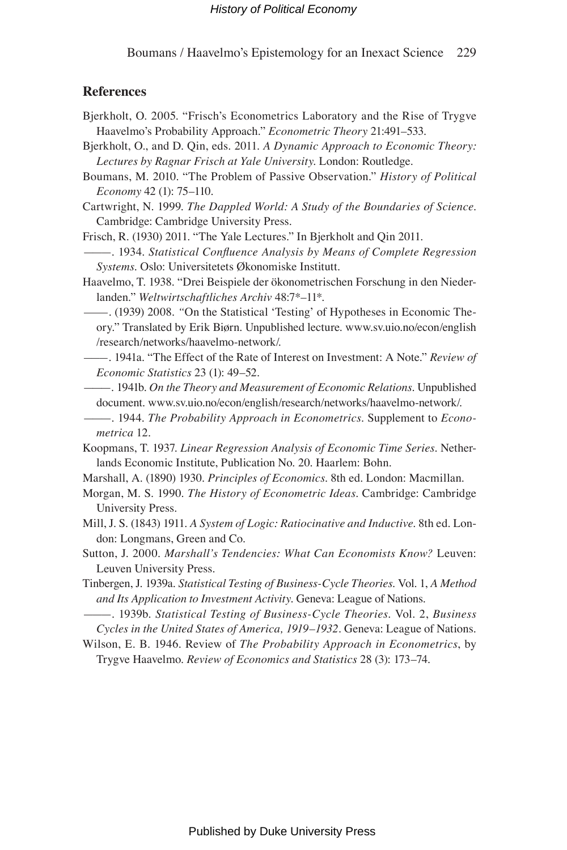#### **References**

- Bjerkholt, O. 2005. "Frisch's Econometrics Laboratory and the Rise of Trygve Haavelmo's Probability Approach." *Econometric Theory* 21:491–533.
- Bjerkholt, O., and D. Qin, eds. 2011. *A Dynamic Approach to Economic Theory: Lectures by Ragnar Frisch at Yale University*. London: Routledge.
- Boumans, M. 2010. "The Problem of Passive Observation." *History of Political Economy* 42 (1): 75–110.
- Cartwright, N. 1999. *The Dappled World: A Study of the Boundaries of Science*. Cambridge: Cambridge University Press.
- Frisch, R. (1930) 2011. "The Yale Lectures." In Bjerkholt and Qin 2011.
- ———. 1934. *Statistical Confluence Analysis by Means of Complete Regression Systems*. Oslo: Universitetets Økonomiske Institutt.
- Haavelmo, T. 1938. "Drei Beispiele der ökonometrischen Forschung in den Niederlanden." *Weltwirtschaftliches Archiv* 48:7\*–11\*.
- *———.* (1939) 2008. *"*On the Statistical 'Testing' of Hypotheses in Economic Theory." Translated by Erik Biørn. Unpublished lecture. www.sv.uio.no/econ/english /research/networks/haavelmo-network/.
- *———.* 1941a. "The Effect of the Rate of Interest on Investment: A Note." *Review of Economic Statistics* 23 (1): 49–52.
- ———. 1941b. *On the Theory and Measurement of Economic Relations*. Unpublished document. www.sv.uio.no/econ/english/research/networks/haavelmo-network/.
- ———. 1944. *The Probability Approach in Econometrics*. Supplement to *Econometrica* 12.
- Koopmans, T. 1937. *Linear Regression Analysis of Economic Time Series*. Netherlands Economic Institute, Publication No. 20. Haarlem: Bohn.
- Marshall, A. (1890) 1930. *Principles of Economics*. 8th ed. London: Macmillan.
- Morgan, M. S. 1990. *The History of Econometric Ideas*. Cambridge: Cambridge University Press.
- Mill, J. S. (1843) 1911. *A System of Logic: Ratiocinative and Inductive*. 8th ed. London: Longmans, Green and Co.
- Sutton, J. 2000. *Marshall's Tendencies: What Can Economists Know?* Leuven: Leuven University Press.
- Tinbergen, J. 1939a. *Statistical Testing of Business-Cycle Theories*. Vol. 1, *A Method and Its Application to Investment Activity.* Geneva: League of Nations.
	- ———. 1939b. *Statistical Testing of Business-Cycle Theories*. Vol. 2, *Business Cycles in the United States of America, 1919–1932.* Geneva: League of Nations.
- Wilson, E. B. 1946. Review of *The Probability Approach in Econometrics*, by Trygve Haavelmo. *Review of Economics and Statistics* 28 (3): 173–74.